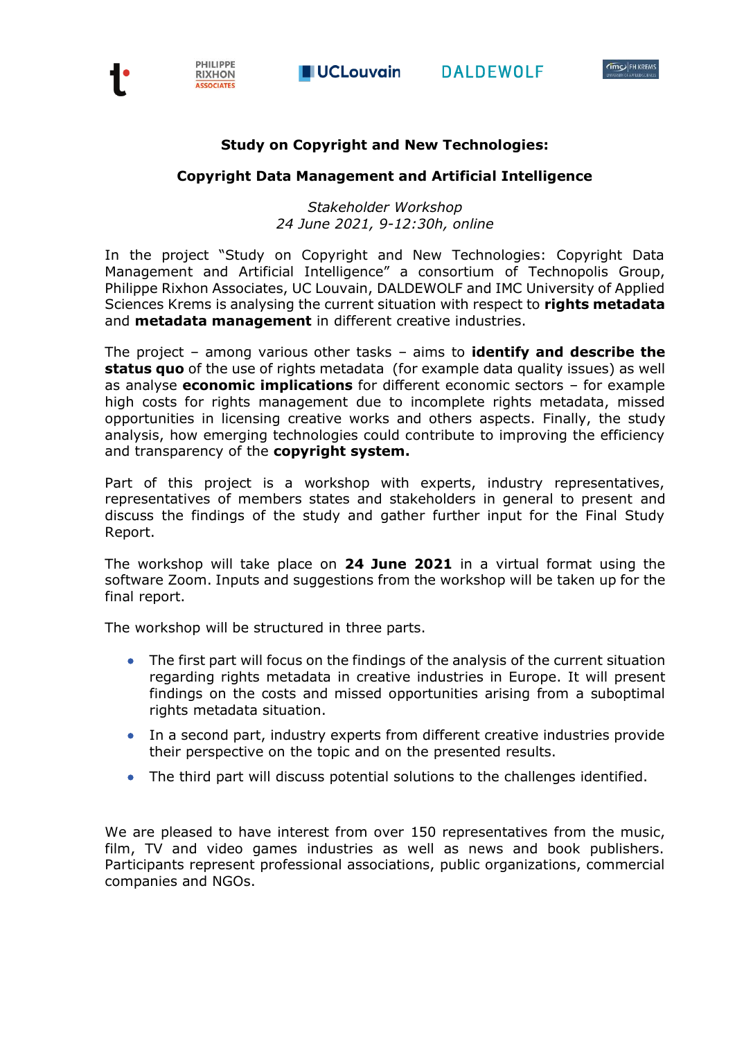



## **Study on Copyright and New Technologies:**

## **Copyright Data Management and Artificial Intelligence**

*Stakeholder Workshop 24 June 2021, 9-12:30h, online*

In the project "Study on Copyright and New Technologies: Copyright Data Management and Artificial Intelligence" a consortium of Technopolis Group, Philippe Rixhon Associates, UC Louvain, DALDEWOLF and IMC University of Applied Sciences Krems is analysing the current situation with respect to **rights metadata** and **metadata management** in different creative industries.

The project – among various other tasks – aims to **identify and describe the status quo** of the use of rights metadata(for example data quality issues) as well as analyse **economic implications** for different economic sectors – for example high costs for rights management due to incomplete rights metadata, missed opportunities in licensing creative works and others aspects. Finally, the study analysis, how emerging technologies could contribute to improving the efficiency and transparency of the **copyright system.**

Part of this project is a workshop with experts, industry representatives, representatives of members states and stakeholders in general to present and discuss the findings of the study and gather further input for the Final Study Report.

The workshop will take place on **24 June 2021** in a virtual format using the software Zoom. Inputs and suggestions from the workshop will be taken up for the final report.

The workshop will be structured in three parts.

- The first part will focus on the findings of the analysis of the current situation regarding rights metadata in creative industries in Europe. It will present findings on the costs and missed opportunities arising from a suboptimal rights metadata situation.
- In a second part, industry experts from different creative industries provide their perspective on the topic and on the presented results.
- The third part will discuss potential solutions to the challenges identified.

We are pleased to have interest from over 150 representatives from the music, film, TV and video games industries as well as news and book publishers. Participants represent professional associations, public organizations, commercial companies and NGOs.